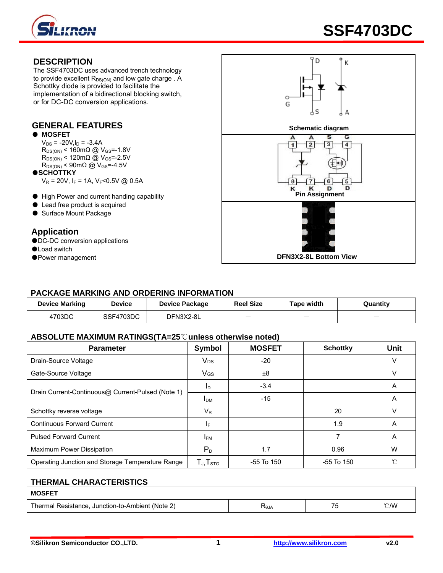

## **DESCRIPTION**

The SSF4703DC uses advanced trench technology to provide excellent  $R_{DS(ON)}$  and low gate charge . A Schottky diode is provided to facilitate the implementation of a bidirectional blocking switch, or for DC-DC conversion applications.

#### ● **MOSFET**

 $V_{DS}$  = -20V,  $I_D$  = -3.4A  $R_{DS(ON)}$  < 160mΩ @ V<sub>GS</sub>=-1.8V  $R_{DS(ON)}$  < 120mΩ @ V<sub>GS</sub>=-2.5V  $R_{DS(ON)}$  < 90m $\Omega$  @  $V_{GS}$  =-4.5V

●**SCHOTTKY**

 $V_R$  = 20V, I<sub>F</sub> = 1A, V<sub>F</sub><0.5V @ 0.5A

- 
- Lead free product is acquired
- Surface Mount Package

# **Application**

- ●DC-DC conversion applications
- ●Load switch
- 



### **PACKAGE MARKING AND ORDERING INFORMATION**

| <b>Device Marking</b> | <b>Device</b> | <b>Device Package</b> | <b>Reel Size</b> | Tape width               | Quantity |
|-----------------------|---------------|-----------------------|------------------|--------------------------|----------|
| 4703DC                | SSF4703DC     | DFN3X2-8L             |                  | $\overline{\phantom{a}}$ | _        |

#### **ABSOLUTE MAXIMUM RATINGS(TA=25**℃**unless otherwise noted)**

| <b>Parameter</b>                                  | Symbol                                                | <b>MOSFET</b> | <b>Schottky</b> | Unit         |
|---------------------------------------------------|-------------------------------------------------------|---------------|-----------------|--------------|
| Drain-Source Voltage                              | <b>V<sub>DS</sub></b>                                 | $-20$         |                 |              |
| Gate-Source Voltage                               | <b>V<sub>GS</sub></b>                                 | ±8            |                 | v            |
| Drain Current-Continuous@ Current-Pulsed (Note 1) | $I_{\text{D}}$                                        | $-3.4$        |                 | A            |
|                                                   | <b>IDM</b>                                            | $-15$         |                 | A            |
| Schottky reverse voltage                          | $V_{R}$                                               |               | 20              | v            |
| <b>Continuous Forward Current</b>                 | IF.                                                   |               | 1.9             | A            |
| <b>Pulsed Forward Current</b>                     | <b>IFM</b>                                            |               |                 | A            |
| Maximum Power Dissipation                         | $P_{D}$                                               | 1.7           | 0.96            | W            |
| Operating Junction and Storage Temperature Range  | ${\mathsf T}_{\mathsf J}, {\mathsf T}_{\textsf{STG}}$ | -55 To 150    | $-55$ To $150$  | $^{\circ}$ C |

#### **THERMAL CHARACTERISTICS**

| <b>MOSFET</b>                                    |        |     |      |
|--------------------------------------------------|--------|-----|------|
| Thermal Resistance, Junction-to-Ambient (Note 2) | ≺ี eJA | $-$ | °C/W |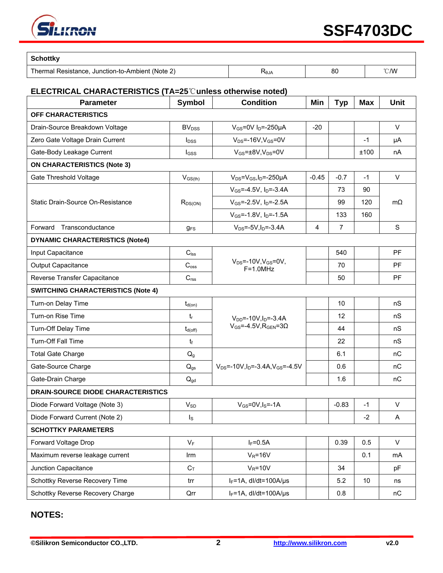

| <b>Schottky</b>                                  |             |    |                |
|--------------------------------------------------|-------------|----|----------------|
| Thermal Resistance, Junction-to-Ambient (Note 2) | <b>RLGZ</b> | 80 | $^{\circ}$ C/W |

#### **ELECTRICAL CHARACTERISTICS (TA=25**℃**unless otherwise noted)**

| <b>Parameter</b>                          | <b>Symbol</b>           | <b>Condition</b>                                              | Min     | <b>Typ</b>     | <b>Max</b>      | <b>Unit</b>  |
|-------------------------------------------|-------------------------|---------------------------------------------------------------|---------|----------------|-----------------|--------------|
| OFF CHARACTERISTICS                       |                         |                                                               |         |                |                 |              |
| Drain-Source Breakdown Voltage            | <b>BV<sub>DSS</sub></b> | $V_{GS}$ =0V I <sub>D</sub> =-250µA                           | $-20$   |                |                 | $\vee$       |
| Zero Gate Voltage Drain Current           | $I_{DSS}$               | $V_{DS}$ =-16V, $V_{GS}$ =0V                                  |         |                | $-1$            | μA           |
| Gate-Body Leakage Current                 | l <sub>GSS</sub>        | $V_{GS}$ = $\pm$ 8V, V <sub>DS</sub> =0V                      |         |                | ±100            | nA           |
| <b>ON CHARACTERISTICS (Note 3)</b>        |                         |                                                               |         |                |                 |              |
| Gate Threshold Voltage                    | $V_{GS(th)}$            | $V_{DS} = V_{GS}I_D = -250 \mu A$                             | $-0.45$ | $-0.7$         | $-1$            | $\vee$       |
|                                           | $R_{DS(ON)}$            | $V_{GS} = -4.5V$ , $I_D = -3.4A$                              |         | 73             | 90              | $m\Omega$    |
| Static Drain-Source On-Resistance         |                         | $V_{GS}$ =-2.5V, $I_{D}$ =-2.5A                               |         | 99             | 120             |              |
|                                           |                         | $V_{GS} = -1.8V$ , $I_D = -1.5A$                              |         | 133            | 160             |              |
| Forward<br>Transconductance               | $q_{FS}$                | $V_{DS} = -5V$ , $I_D = -3.4A$                                | 4       | $\overline{7}$ |                 | S            |
| <b>DYNAMIC CHARACTERISTICS (Note4)</b>    |                         |                                                               |         |                |                 |              |
| Input Capacitance                         | $C_{\text{lss}}$        |                                                               |         | 540            |                 | <b>PF</b>    |
| <b>Output Capacitance</b>                 | $C_{\rm oss}$           | $V_{DS}$ =-10V, $V_{GS}$ =0V,<br>$F=1.0MHz$                   |         | 70             |                 | <b>PF</b>    |
| Reverse Transfer Capacitance              | C <sub>rss</sub>        |                                                               |         | 50             |                 | PF           |
| <b>SWITCHING CHARACTERISTICS (Note 4)</b> |                         |                                                               |         |                |                 |              |
| Turn-on Delay Time                        | $t_{d(on)}$             |                                                               |         | 10             |                 | nS           |
| Turn-on Rise Time                         | $t_{r}$                 | $V_{DD}$ =-10V, $I_D$ =-3.4A                                  |         | 12             |                 | nS           |
| Turn-Off Delay Time                       | $t_{d(off)}$            | $V_{GS} = -4.5V$ , R <sub>GEN</sub> =30                       |         | 44             |                 | nS           |
| Turn-Off Fall Time                        | t                       |                                                               |         | 22             |                 | nS           |
| <b>Total Gate Charge</b>                  | Q <sub>g</sub>          |                                                               |         | 6.1            |                 | nC           |
| Gate-Source Charge                        | $Q_{gs}$                | $V_{DS}$ =-10V, I <sub>D</sub> =-3.4A, V <sub>GS</sub> =-4.5V |         | 0.6            |                 | nC           |
| Gate-Drain Charge                         | $Q_{gd}$                |                                                               |         | 1.6            |                 | nC           |
| <b>DRAIN-SOURCE DIODE CHARACTERISTICS</b> |                         |                                                               |         |                |                 |              |
| Diode Forward Voltage (Note 3)            | $V_{SD}$                | $V_{GS}$ =0V, $I_S$ =-1A                                      |         | $-0.83$        | $-1$            | V            |
| Diode Forward Current (Note 2)            | $\mathsf{I}_\mathsf{S}$ |                                                               |         |                | $-2$            | Α            |
| <b>SCHOTTKY PARAMETERS</b>                |                         |                                                               |         |                |                 |              |
| Forward Voltage Drop                      | $V_F$                   | $I_F = 0.5A$                                                  |         | 0.39           | 0.5             | $\mathsf{V}$ |
| Maximum reverse leakage current           | Irm                     | $V_R = 16V$                                                   |         |                | 0.1             | mA           |
| Junction Capacitance                      | $C_T$                   | $V_R = 10V$                                                   |         | 34             |                 | pF           |
| Schottky Reverse Recovery Time            | trr                     | $I_F = 1A$ , dl/dt=100A/µs                                    |         | 5.2            | 10 <sup>°</sup> | ns           |
| Schottky Reverse Recovery Charge          | Qrr                     | IF=1A, dl/dt=100A/µs                                          |         | 0.8            |                 | nC           |

# **NOTES:**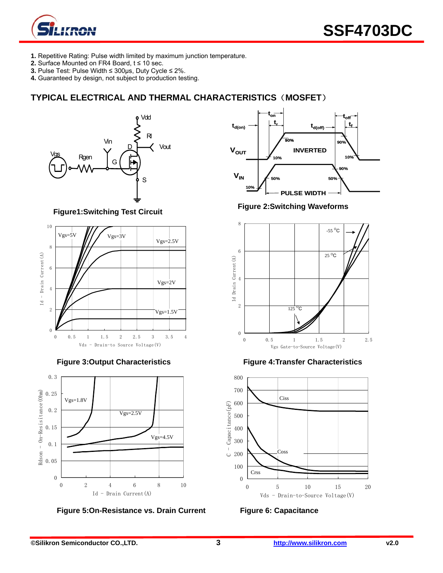

- **1.** Repetitive Rating: Pulse width limited by maximum junction temperature.
- **2.** Surface Mounted on FR4 Board, t ≤ 10 sec.
- **3.** Pulse Test: Pulse Width ≤ 300μs, Duty Cycle ≤ 2%.
- **4.** Guaranteed by design, not subject to production testing.

# **TYPICAL ELECTRICAL AND THERMAL CHARACTERISTICS**(**MOSFET**)



**Figure1:Switching Test Circuit** 





Figure 5:On-Resistance vs. Drain Current Figure 6: Capacitance



**Figure 2:Switching Waveforms** 



**Figure 3:Output Characteristics Figure 4:Transfer Characteristics** 

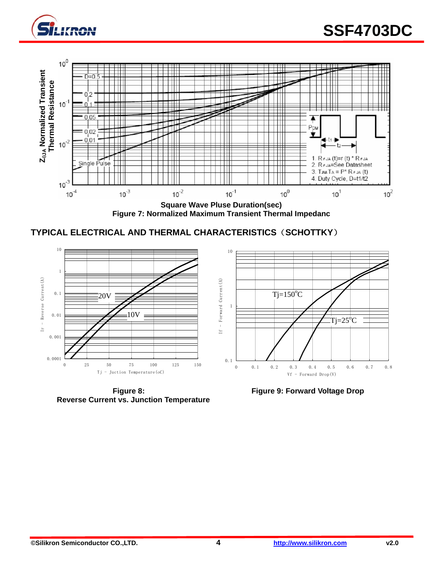



**Figure 7: Normalized Maximum Transient Thermal Impedanc** 





**Reverse Current vs. Junction Temperature** 

**Figure 8: Figure 9: Forward Voltage Drop**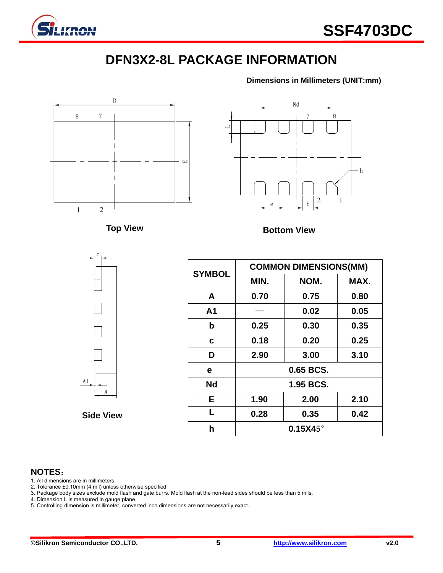![](_page_4_Picture_0.jpeg)

# **DFN3X2-8L PACKAGE INFORMATION**

**Dimensions in Millimeters (UNIT:mm)**

![](_page_4_Figure_4.jpeg)

# **NOTES**:

1. All dimensions are in millimeters.

2. Tolerance ±0.10mm (4 mil) unless otherwise specified

3. Package body sizes exclude mold flash and gate burrs. Mold flash at the non-lead sides should be less than 5 mils.

4. Dimension L is measured in gauge plane.

5. Controlling dimension is millimeter, converted inch dimensions are not necessarily exact.